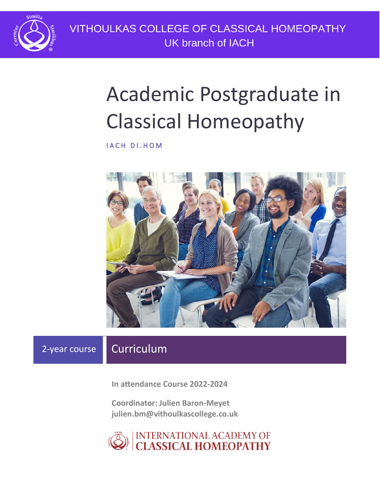

VITHOULKAS COLLEGE OF CLASSICAL HOMEOPATHY **UK branch of IACH** 

# Academic Postgraduate in Classical Homeopathy

IACH DI.HOM



2-year course Curriculum

**In attendance Course 2022-2024**

**Coordinator: Julien Baron-Meyet julien.bm@vithoulkascollege.co.uk**

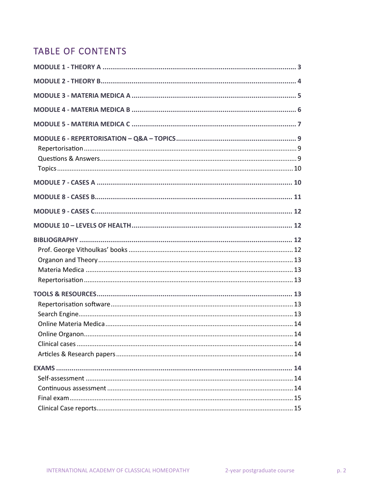# TABLE OF CONTENTS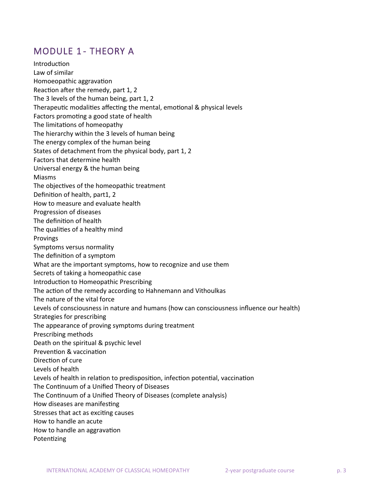# <span id="page-2-0"></span>MODULE 1 - THEORY A

**Introduction** Law of similar Homoeopathic aggravation Reaction after the remedy, part 1, 2 The 3 levels of the human being, part 1, 2 Therapeutic modalities affecting the mental, emotional & physical levels Factors promoting a good state of health The limitations of homeopathy The hierarchy within the 3 levels of human being The energy complex of the human being States of detachment from the physical body, part 1, 2 Factors that determine health Universal energy & the human being Miasms The objectives of the homeopathic treatment Definition of health, part1, 2 How to measure and evaluate health Progression of diseases The definition of health The qualities of a healthy mind Provings Symptoms versus normality The definition of a symptom What are the important symptoms, how to recognize and use them Secrets of taking a homeopathic case Introduction to Homeopathic Prescribing The action of the remedy according to Hahnemann and Vithoulkas The nature of the vital force Levels of consciousness in nature and humans (how can consciousness influence our health) Strategies for prescribing The appearance of proving symptoms during treatment Prescribing methods Death on the spiritual & psychic level Prevention & vaccination Direction of cure Levels of health Levels of health in relation to predisposition, infection potential, vaccination The Continuum of a Unified Theory of Diseases The Continuum of a Unified Theory of Diseases (complete analysis) How diseases are manifesting Stresses that act as exciting causes How to handle an acute How to handle an aggravation Potentizing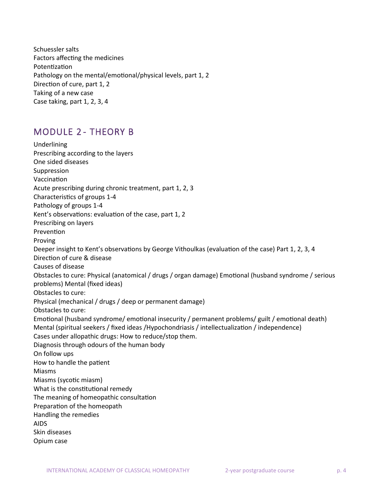Schuessler salts Factors affecting the medicines Potentization Pathology on the mental/emotional/physical levels, part 1, 2 Direction of cure, part 1, 2 Taking of a new case Case taking, part 1, 2, 3, 4

# <span id="page-3-0"></span>MODULE 2 - THEORY B

Underlining Prescribing according to the layers One sided diseases Suppression Vaccination Acute prescribing during chronic treatment, part 1, 2, 3 Characteristics of groups 1-4 Pathology of groups 1-4 Kent's observations: evaluation of the case, part 1, 2 Prescribing on layers Prevention Proving Deeper insight to Kent's observations by George Vithoulkas (evaluation of the case) Part 1, 2, 3, 4 Direction of cure & disease Causes of disease Obstacles to cure: Physical (anatomical / drugs / organ damage) Emotional (husband syndrome / serious problems) Mental (fixed ideas) Obstacles to cure: Physical (mechanical / drugs / deep or permanent damage) Obstacles to cure: Emotional (husband syndrome/ emotional insecurity / permanent problems/ guilt / emotional death) Mental (spiritual seekers / fixed ideas /Hypochondriasis / intellectualization / independence) Cases under allopathic drugs: How to reduce/stop them. Diagnosis through odours of the human body On follow ups How to handle the patient Miasms Miasms (sycotic miasm) What is the constitutional remedy The meaning of homeopathic consultation Preparation of the homeopath Handling the remedies AIDS Skin diseases Opium case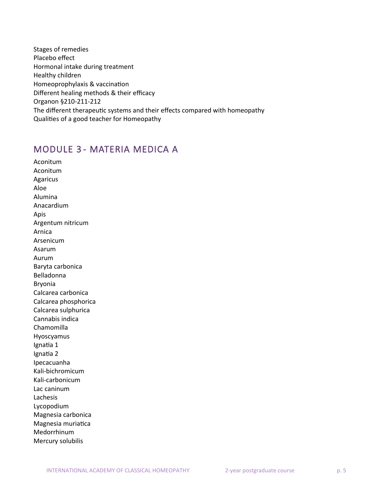Stages of remedies Placebo effect Hormonal intake during treatment Healthy children Homeoprophylaxis & vaccination Different healing methods & their efficacy Organon §210-211-212 The different therapeutic systems and their effects compared with homeopathy Qualities of a good teacher for Homeopathy

# <span id="page-4-0"></span>MODULE 3 - MATERIA MEDICA A

Aconitum Aconitum Agaricus Aloe Alumina Anacardium Apis Argentum nitricum Arnica Arsenicum Asarum Aurum Baryta carbonica Belladonna Bryonia Calcarea carbonica Calcarea phosphorica Calcarea sulphurica Cannabis indica Chamomilla Hyoscyamus Ignatia 1 Ignatia 2 Ipecacuanha Kali-bichromicum Kali-carbonicum Lac caninum Lachesis Lycopodium Magnesia carbonica Magnesia muriatica Medorrhinum Mercury solubilis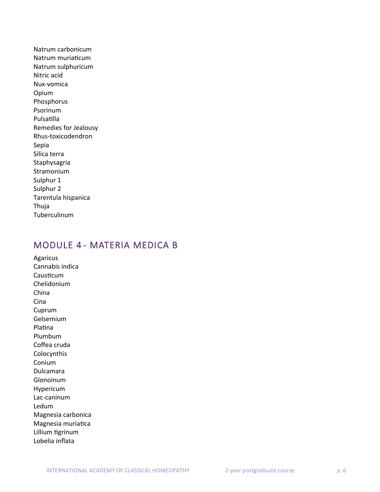Natrum carbonicum Natrum muriaticum Natrum sulphuricum Nitric acid Nux-vomica Opium Phosphorus Psorinum Pulsatilla Remedies for Jealousy Rhus-toxicodendron Sepia Silica terra Staphysagria Stramonium Sulphur 1 Sulphur 2 Tarentula hispanica Thuja Tuberculinum

# <span id="page-5-0"></span>MODULE 4 - MATERIA MEDICA B

Agaricus Cannabis indica Causticum Chelidonium China Cina Cuprum Gelsemium Platina Plumbum Coffea cruda Colocynthis Conium Dulcamara Glonoinum Hypericum Lac-caninum Ledum Magnesia carbonica Magnesia muriatica Lillium tigrinum Lobelia inflata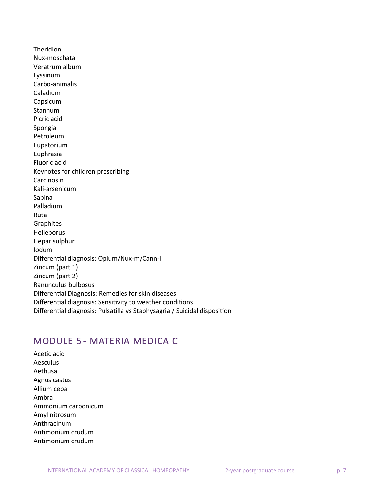**Theridion** Nux-moschata Veratrum album Lyssinum Carbo-animalis Caladium Capsicum Stannum Picric acid Spongia Petroleum Eupatorium Euphrasia Fluoric acid Keynotes for children prescribing Carcinosin Kali-arsenicum Sabina Palladium Ruta **Graphites** Helleborus Hepar sulphur Iodum Differential diagnosis: Opium/Nux-m/Cann-i Zincum (part 1) Zincum (part 2) Ranunculus bulbosus Differential Diagnosis: Remedies for skin diseases Differential diagnosis: Sensitivity to weather conditions Differential diagnosis: Pulsatilla vs Staphysagria / Suicidal disposition

# <span id="page-6-0"></span>MODULE 5 - MATERIA MEDICA C

Acetic acid Aesculus Aethusa Agnus castus Allium cepa Ambra Ammonium carbonicum Amyl nitrosum Anthracinum Antimonium crudum Antimonium crudum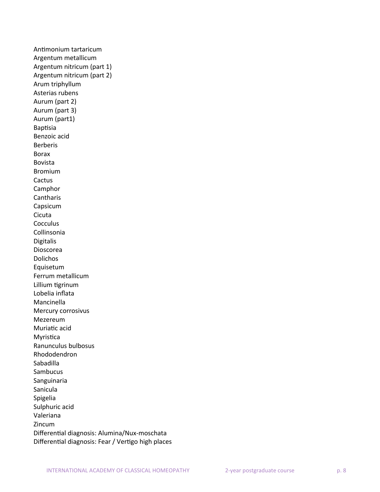Antimonium tartaricum Argentum metallicum Argentum nitricum (part 1) Argentum nitricum (part 2) Arum triphyllum Asterias rubens Aurum (part 2) Aurum (part 3) Aurum (part1) Baptisia Benzoic acid Berberis Borax Bovista Bromium Cactus Camphor **Cantharis** Capsicum Cicuta **Cocculus** Collinsonia Digitalis Dioscorea Dolichos Equisetum Ferrum metallicum Lillium tigrinum Lobelia inflata Mancinella Mercury corrosivus Mezereum Muriatic acid Myristica Ranunculus bulbosus Rhododendron Sabadilla Sambucus Sanguinaria Sanicula Spigelia Sulphuric acid Valeriana Zincum Differential diagnosis: Alumina/Nux-moschata Differential diagnosis: Fear / Vertigo high places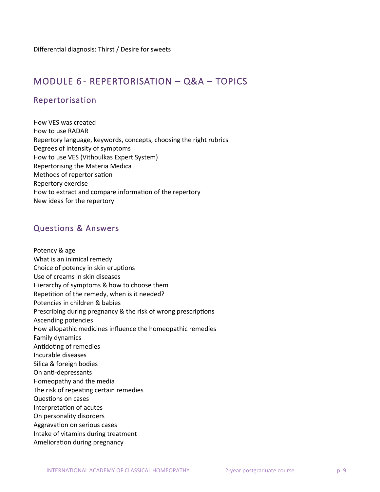# <span id="page-8-0"></span>MODULE 6 - REPERTORISATION – Q&A – TOPICS

#### <span id="page-8-1"></span>Repertorisation

How VES was created How to use RADAR Repertory language, keywords, concepts, choosing the right rubrics Degrees of intensity of symptoms How to use VES (Vithoulkas Expert System) Repertorising the Materia Medica Methods of repertorisation Repertory exercise How to extract and compare information of the repertory New ideas for the repertory

#### <span id="page-8-2"></span>Questions & Answers

Potency & age What is an inimical remedy Choice of potency in skin eruptions Use of creams in skin diseases Hierarchy of symptoms & how to choose them Repetition of the remedy, when is it needed? Potencies in children & babies Prescribing during pregnancy & the risk of wrong prescriptions Ascending potencies How allopathic medicines influence the homeopathic remedies Family dynamics Antidoting of remedies Incurable diseases Silica & foreign bodies On anti-depressants Homeopathy and the media The risk of repeating certain remedies Questions on cases Interpretation of acutes On personality disorders Aggravation on serious cases Intake of vitamins during treatment Amelioration during pregnancy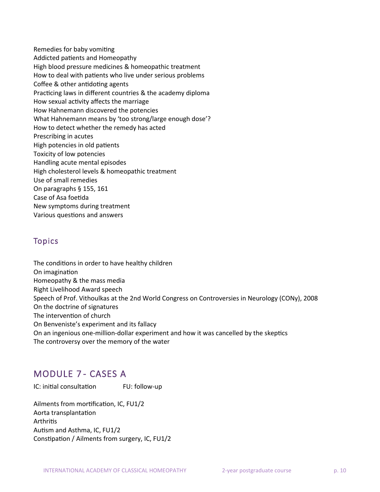Remedies for baby vomiting Addicted patients and Homeopathy High blood pressure medicines & homeopathic treatment How to deal with patients who live under serious problems Coffee & other antidoting agents Practicing laws in different countries & the academy diploma How sexual activity affects the marriage How Hahnemann discovered the potencies What Hahnemann means by 'too strong/large enough dose'? How to detect whether the remedy has acted Prescribing in acutes High potencies in old patients Toxicity of low potencies Handling acute mental episodes High cholesterol levels & homeopathic treatment Use of small remedies On paragraphs § 155, 161 Case of Asa foetida New symptoms during treatment Various questions and answers

### <span id="page-9-0"></span>Topics

The conditions in order to have healthy children On imagination Homeopathy & the mass media Right Livelihood Award speech Speech of Prof. Vithoulkas at the 2nd World Congress on Controversies in Neurology (CONy), 2008 On the doctrine of signatures The intervention of church On Benveniste's experiment and its fallacy On an ingenious one-million-dollar experiment and how it was cancelled by the skeptics The controversy over the memory of the water

# <span id="page-9-1"></span>MODULE 7 - CASES A

IC: initial consultation FU: follow-up

Ailments from mortification, IC, FU1/2 Aorta transplantation **Arthritis** Autism and Asthma, IC, FU1/2 Constipation / Ailments from surgery, IC, FU1/2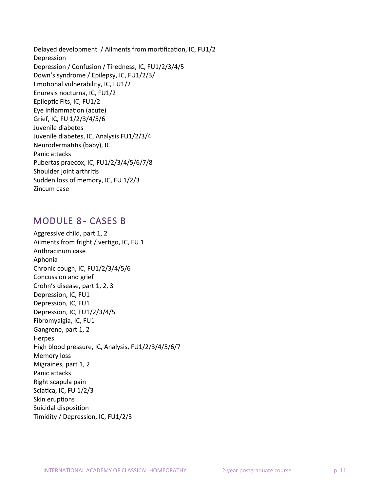Delayed development / Ailments from mortification, IC, FU1/2 Depression Depression / Confusion / Tiredness, IC, FU1/2/3/4/5 Down's syndrome / Epilepsy, IC, FU1/2/3/ Emotional vulnerability, IC, FU1/2 Enuresis nocturna, IC, FU1/2 Epileptic Fits, IC, FU1/2 Eye inflammation (acute) Grief, IC, FU 1/2/3/4/5/6 Juvenile diabetes Juvenile diabetes, IC, Analysis FU1/2/3/4 Neurodermatitis (baby), IC Panic attacks Pubertas praecox, IC, FU1/2/3/4/5/6/7/8 Shoulder joint arthritis Sudden loss of memory, IC, FU 1/2/3 Zincum case

# <span id="page-10-0"></span>MODULE 8 - CASES B

Aggressive child, part 1, 2 Ailments from fright / vertigo, IC, FU 1 Anthracinum case Aphonia Chronic cough, IC, FU1/2/3/4/5/6 Concussion and grief Crohn's disease, part 1, 2, 3 Depression, IC, FU1 Depression, IC, FU1 Depression, IC, FU1/2/3/4/5 Fibromyalgia, IC, FU1 Gangrene, part 1, 2 Herpes High blood pressure, IC, Analysis, FU1/2/3/4/5/6/7 Memory loss Migraines, part 1, 2 Panic attacks Right scapula pain Sciatica, IC, FU 1/2/3 Skin eruptions Suicidal disposition Timidity / Depression, IC, FU1/2/3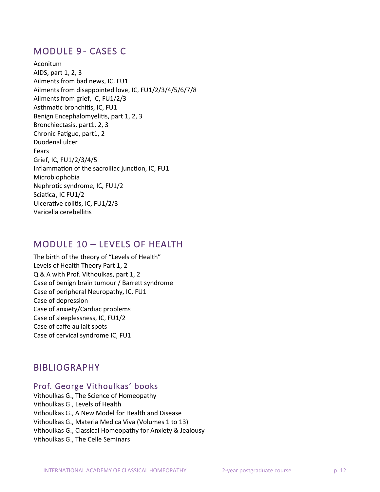# <span id="page-11-0"></span>MODULE 9 - CASES C

Aconitum AIDS, part 1, 2, 3 Ailments from bad news, IC, FU1 Ailments from disappointed love, IC, FU1/2/3/4/5/6/7/8 Ailments from grief, IC, FU1/2/3 Asthmatic bronchitis, IC, FU1 Benign Encephalomyelitis, part 1, 2, 3 Bronchiectasis, part1, 2, 3 Chronic Fatigue, part1, 2 Duodenal ulcer Fears Grief, IC, FU1/2/3/4/5 Inflammation of the sacroiliac junction, IC, FU1 Microbiophobia Nephrotic syndrome, IC, FU1/2 Sciatica, IC FU1/2 Ulcerative colitis, IC, FU1/2/3 Varicella cerebellitis

# <span id="page-11-1"></span>MODULE 10 – LEVELS OF HEALTH

The birth of the theory of "Levels of Health" Levels of Health Theory Part 1, 2 Q & A with Prof. Vithoulkas, part 1, 2 Case of benign brain tumour / Barrett syndrome Case of peripheral Neuropathy, IC, FU1 Case of depression Case of anxiety/Cardiac problems Case of sleeplessness, IC, FU1/2 Case of caffe au lait spots Case of cervical syndrome IC, FU1

# <span id="page-11-2"></span>BIBLIOGRAPHY

#### <span id="page-11-3"></span>Prof. George Vithoulkas' books

Vithoulkas G., The Science of Homeopathy Vithoulkas G., Levels of Health Vithoulkas G., A New Model for Health and Disease Vithoulkas G., Materia Medica Viva (Volumes 1 to 13) Vithoulkas G., Classical Homeopathy for Anxiety & Jealousy Vithoulkas G., The Celle Seminars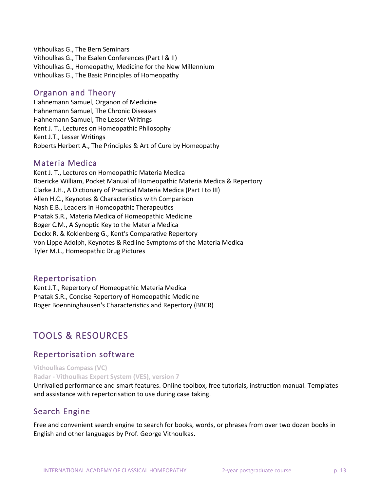Vithoulkas G., The Bern Seminars Vithoulkas G., The Esalen Conferences (Part I & II) Vithoulkas G., Homeopathy, Medicine for the New Millennium Vithoulkas G., The Basic Principles of Homeopathy

#### <span id="page-12-0"></span>Organon and Theory

Hahnemann Samuel, Organon of Medicine Hahnemann Samuel, The Chronic Diseases Hahnemann Samuel, The Lesser Writings Kent J. T., Lectures on Homeopathic Philosophy Kent J.T., Lesser Writings Roberts Herbert A., The Principles & Art of Cure by Homeopathy

#### <span id="page-12-1"></span>Materia Medica

Kent J. T., Lectures on Homeopathic Materia Medica Boericke William, Pocket Manual of Homeopathic Materia Medica & Repertory Clarke J.H., A Dictionary of Practical Materia Medica (Part I to III) Allen H.C., Keynotes & Characteristics with Comparison Nash E.B., Leaders in Homeopathic Therapeutics Phatak S.R., Materia Medica of Homeopathic Medicine Boger C.M., A Synoptic Key to the Materia Medica Dockx R. & Koklenberg G., Kent's Comparative Repertory Von Lippe Adolph, Keynotes & Redline Symptoms of the Materia Medica Tyler M.L., Homeopathic Drug Pictures

#### <span id="page-12-2"></span>Repertorisation

Kent J.T., Repertory of Homeopathic Materia Medica Phatak S.R., Concise Repertory of Homeopathic Medicine Boger Boenninghausen's Characteristics and Repertory (BBCR)

# <span id="page-12-3"></span>TOOLS & RESOURCES

#### <span id="page-12-4"></span>Repertorisation software

**[Vithoulkas Compass](https://www.vithoulkascompass.com/) (VC) Radar - [Vithoulkas Expert System \(VES\), version 7](https://www.radaropus.com/products/radaropus/modules/vithoulkas-expert-system)**

Unrivalled performance and smart features. Online toolbox, free tutorials, instruction manual. Templates and assistance with repertorisation to use during case taking.

# <span id="page-12-5"></span>Search Engine

Free and convenient search engine to search for books, words, or phrases from over two dozen books in English and other languages by Prof. George Vithoulkas.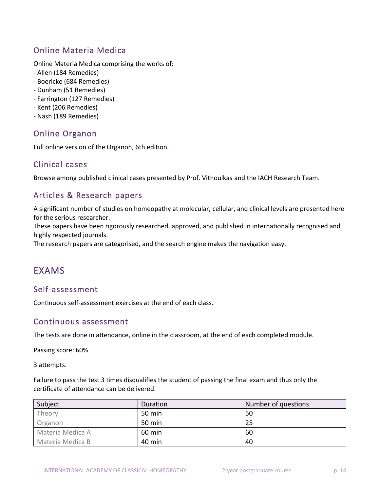# <span id="page-13-0"></span>Online Materia Medica

Online Materia Medica comprising the works of:

- Allen (184 Remedies)
- Boericke (684 Remedies)
- Dunham (51 Remedies)
- Farrington (127 Remedies)
- Kent (206 Remedies)
- <span id="page-13-1"></span>- Nash (189 Remedies)

#### Online Organon

<span id="page-13-2"></span>Full online version of the Organon, 6th edition.

#### Clinical cases

<span id="page-13-3"></span>Browse among published clinical cases presented by Prof. Vithoulkas and the IACH Research Team.

#### Articles & Research papers

A significant number of studies on homeopathy at molecular, cellular, and clinical levels are presented here for the serious researcher.

These papers have been rigorously researched, approved, and published in internationally recognised and highly respected journals.

The research papers are categorised, and the search engine makes the navigation easy.

# <span id="page-13-4"></span>EXAMS

#### <span id="page-13-5"></span>Self-assessment

Continuous self-assessment exercises at the end of each class.

#### <span id="page-13-6"></span>Continuous assessment

The tests are done in attendance, online in the classroom, at the end of each completed module.

Passing score: 60%

3 attempts.

Failure to pass the test 3 times disqualifies the student of passing the final exam and thus only the certificate of attendance can be delivered.

| Subject          | Duration | Number of questions |
|------------------|----------|---------------------|
| Theory           | 50 min   | 50                  |
| Organon          | 50 min   | 25                  |
| Materia Medica A | 60 min   | 60                  |
| Materia Medica B | 40 min   | 40                  |